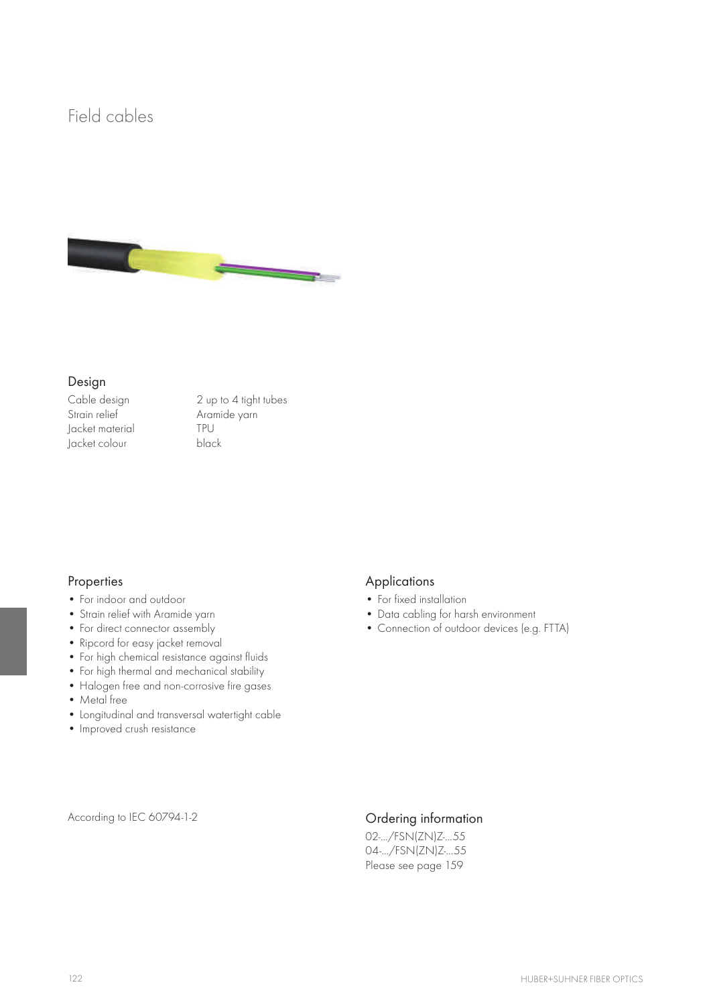## Field cables



### Design

Jacket material TPU Jacket colour

Cable design 2 up to 4 tight tubes Aramide yarn<br>TPU

## Properties

- • For indoor and outdoor
- • Strain relief with Aramide yarn
- For direct connector assembly
- Ripcord for easy jacket removal
- • For high chemical resistance against fluids
- For high thermal and mechanical stability
- Halogen free and non-corrosive fire gases
- Metal free
- • Longitudinal and transversal watertight cable
- • Improved crush resistance

## Applications

- For fixed installation
- • Data cabling for harsh environment
- • Connection of outdoor devices (e.g. FTTA)

According to IEC 60794-1-2 Crdering information

02-.../FSN(ZN)Z-...55 04-.../FSN(ZN)Z-...55 Please see page 159